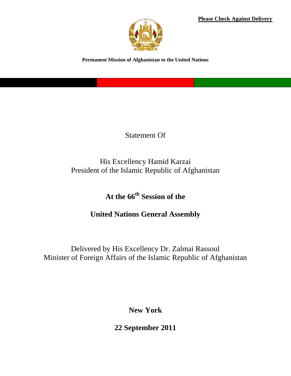**Please Check Against Delivery**



**Permanent Mission of Afghanistan to the United Nations**

Statement Of

His Excellency Hamid Karzai President of the Islamic Republic of Afghanistan

**At the 66th Session of the** 

**United Nations General Assembly** 

Delivered by His Excellency Dr. Zalmai Rassoul Minister of Foreign Affairs of the Islamic Republic of Afghanistan

**New York**

**22 September 2011**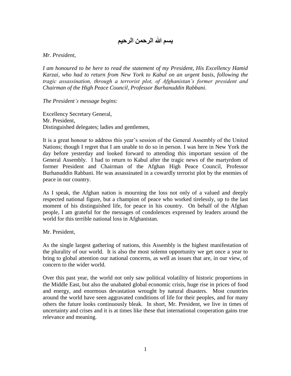## **بسم هللا الرحمن الرحيم**

## *Mr. President,*

*I am honoured to be here to read the statement of my President, His Excellency Hamid Karzai, who had to return from New York to Kabul on an urgent basis, following the tragic assassination, through a terrorist plot, of Afghanistan's former president and Chairman of the High Peace Council, Professor Burhanuddin Rabbani.* 

## *The President's message begins:*

Excellency Secretary General, Mr. President, Distinguished delegates; ladies and gentlemen,

It is a great honour to address this year's session of the General Assembly of the United Nations; though I regret that I am unable to do so in person. I was here in New York the day before yesterday and looked forward to attending this important session of the General Assembly. I had to return to Kabul after the tragic news of the martyrdom of former President and Chairman of the Afghan High Peace Council, Professor Burhanuddin Rabbani. He was assassinated in a cowardly terrorist plot by the enemies of peace in our country.

As I speak, the Afghan nation is mourning the loss not only of a valued and deeply respected national figure, but a champion of peace who worked tirelessly, up to the last moment of his distinguished life, for peace in his country. On behalf of the Afghan people, I am grateful for the messages of condolences expressed by leaders around the world for this terrible national loss in Afghanistan.

Mr. President,

As the single largest gathering of nations, this Assembly is the highest manifestation of the plurality of our world. It is also the most solemn opportunity we get once a year to bring to global attention our national concerns, as well as issues that are, in our view, of concern to the wider world.

Over this past year, the world not only saw political volatility of historic proportions in the Middle East, but also the unabated global economic crisis, huge rise in prices of food and energy, and enormous devastation wrought by natural disasters. Most countries around the world have seen aggravated conditions of life for their peoples, and for many others the future looks continuously bleak. In short, Mr. President, we live in times of uncertainty and crises and it is at times like these that international cooperation gains true relevance and meaning.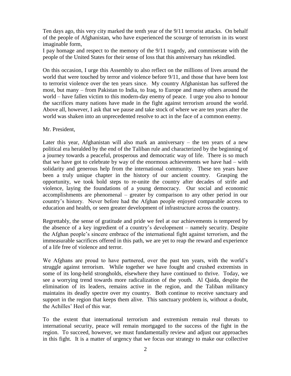Ten days ago, this very city marked the tenth year of the 9/11 terrorist attacks. On behalf of the people of Afghanistan, who have experienced the scourge of terrorism in its worst imaginable form,

I pay homage and respect to the memory of the 9/11 tragedy, and commiserate with the people of the United States for their sense of loss that this anniversary has rekindled.

On this occasion, I urge this Assembly to also reflect on the millions of lives around the world that were touched by terror and violence before 9/11, and those that have been lost to terrorist violence over the ten years since. My country Afghanistan has suffered the most, but many – from Pakistan to India, to Iraq, to Europe and many others around the world – have fallen victim to this modern-day enemy of peace. I urge you also to honour the sacrifices many nations have made in the fight against terrorism around the world. Above all, however, I ask that we pause and take stock of where we are ten years after the world was shaken into an unprecedented resolve to act in the face of a common enemy.

Mr. President,

Later this year, Afghanistan will also mark an anniversary – the ten years of a new political era heralded by the end of the Taliban rule and characterized by the beginning of a journey towards a peaceful, prosperous and democratic way of life. There is so much that we have got to celebrate by way of the enormous achievements we have had – with solidarity and generous help from the international community. These ten years have been a truly unique chapter in the history of our ancient country. Grasping the opportunity, we took bold steps to re-unite the country after decades of strife and violence, laying the foundations of a young democracy. Our social and economic accomplishments are phenomenal – greater by comparison to any other period in our country's history. Never before had the Afghan people enjoyed comparable access to education and health, or seen greater development of infrastructure across the country.

Regrettably, the sense of gratitude and pride we feel at our achievements is tempered by the absence of a key ingredient of a country's development – namely security. Despite the Afghan people's sincere embrace of the international fight against terrorism, and the immeasurable sacrifices offered in this path, we are yet to reap the reward and experience of a life free of violence and terror.

We Afghans are proud to have partnered, over the past ten years, with the world's struggle against terrorism. While together we have fought and crushed extremists in some of its long-held strongholds, elsewhere they have continued to thrive. Today, we see a worrying trend towards more radicalization of the youth. Al Qaida, despite the elimination of its leaders, remains active in the region, and the Taliban militancy maintains its deadly spectre over my country. Both continue to receive sanctuary and support in the region that keeps them alive. This sanctuary problem is, without a doubt, the Achilles' Heel of this war.

To the extent that international terrorism and extremism remain real threats to international security, peace will remain mortgaged to the success of the fight in the region. To succeed, however, we must fundamentally review and adjust our approaches in this fight. It is a matter of urgency that we focus our strategy to make our collective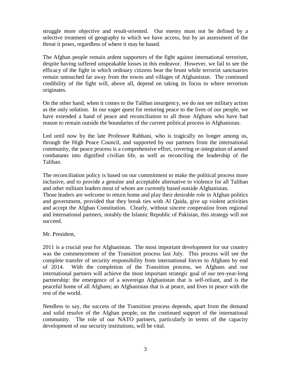struggle more objective and result-oriented. Our enemy must not be defined by a selective treatment of geography to which we have access, but by an assessment of the threat it poses, regardless of where it may be based.

The Afghan people remain ardent supporters of the fight against international terrorism, despite having suffered unspeakable losses in this endeavor. However, we fail to see the efficacy of the fight in which ordinary citizens bear the brunt while terrorist sanctuaries remain untouched far away from the towns and villages of Afghanistan. The continued credibility of the fight will, above all, depend on taking its focus to where terrorism originates.

On the other hand, when it comes to the Taliban insurgency, we do not see military action as the only solution. In our eager quest for restoring peace to the lives of our people, we have extended a hand of peace and reconciliation to all those Afghans who have had reason to remain outside the boundaries of the current political process in Afghanistan.

Led until now by the late Professor Rabbani, who is tragically no longer among us, through the High Peace Council, and supported by our partners from the international community, the peace process is a comprehensive effort, covering re-integration of armed combatants into dignified civilian life, as well as reconciling the leadership of the Taliban.

The reconciliation policy is based on our commitment to make the political process more inclusive, and to provide a genuine and acceptable alternative to violence for all Taliban and other militant leaders most of whom are currently based outside Afghanistan.

Those leaders are welcome to return home and play their desirable role in Afghan politics and government, provided that they break ties with Al Qaida, give up violent activities and accept the Afghan Constitution. Clearly, without sincere cooperation from regional and international partners, notably the Islamic Republic of Pakistan, this strategy will not succeed.

## Mr. President,

2011 is a crucial year for Afghanistan. The most important development for our country was the commencement of the Transition process last July. This process will see the complete transfer of security responsibility from international forces to Afghans by end of 2014. With the completion of the Transition process, we Afghans and our international partners will achieve the most important strategic goal of our ten-year-long partnership: the emergence of a sovereign Afghanistan that is self-reliant, and is the peaceful home of all Afghans; an Afghanistan that is at peace, and lives in peace with the rest of the world.

Needless to say, the success of the Transition process depends, apart from the demand and solid resolve of the Afghan people, on the continued support of the international community. The role of our NATO partners, particularly in terms of the capacity development of our security institutions, will be vital.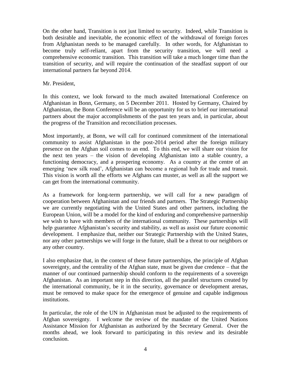On the other hand, Transition is not just limited to security. Indeed, while Transition is both desirable and inevitable, the economic effect of the withdrawal of foreign forces from Afghanistan needs to be managed carefully. In other words, for Afghanistan to become truly self-reliant, apart from the security transition, we will need a comprehensive economic transition. This transition will take a much longer time than the transition of security, and will require the continuation of the steadfast support of our international partners far beyond 2014.

Mr. President,

In this context, we look forward to the much awaited International Conference on Afghanistan in Bonn, Germany, on 5 December 2011. Hosted by Germany, Chaired by Afghanistan, the Bonn Conference will be an opportunity for us to brief our international partners about the major accomplishments of the past ten years and, in particular, about the progress of the Transition and reconciliation processes.

Most importantly, at Bonn, we will call for continued commitment of the international community to assist Afghanistan in the post-2014 period after the foreign military presence on the Afghan soil comes to an end. To this end, we will share our vision for the next ten years – the vision of developing Afghanistan into a stable country, a functioning democracy, and a prospering economy. As a country at the centre of an emerging 'new silk road', Afghanistan can become a regional hub for trade and transit. This vision is worth all the efforts we Afghans can muster, as well as all the support we can get from the international community.

As a framework for long-term partnership, we will call for a new paradigm of cooperation between Afghanistan and our friends and partners. The Strategic Partnership we are currently negotiating with the United States and other partners, including the European Union, will be a model for the kind of enduring and comprehensive partnership we wish to have with members of the international community. These partnerships will help guarantee Afghanistan's security and stability, as well as assist our future economic development. I emphasize that, neither our Strategic Partnership with the United States, nor any other partnerships we will forge in the future, shall be a threat to our neighbors or any other country.

I also emphasize that, in the context of these future partnerships, the principle of Afghan sovereignty, and the centrality of the Afghan state, must be given due credence – that the manner of our continued partnership should conform to the requirements of a sovereign Afghanistan. As an important step in this direction, all the parallel structures created by the international community, be it in the security, governance or development arenas, must be removed to make space for the emergence of genuine and capable indigenous institutions.

In particular, the role of the UN in Afghanistan must be adjusted to the requirements of Afghan sovereignty. I welcome the review of the mandate of the United Nations Assistance Mission for Afghanistan as authorized by the Secretary General. Over the months ahead, we look forward to participating in this review and its desirable conclusion.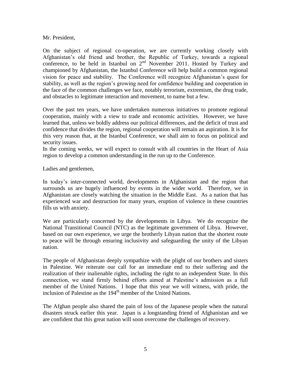Mr. President,

On the subject of regional co-operation, we are currently working closely with Afghanistan's old friend and brother, the Republic of Turkey, towards a regional conference, to be held in Istanbul on  $2<sup>nd</sup>$  November 2011. Hosted by Turkey and championed by Afghanistan, the Istanbul Conference will help build a common regional vision for peace and stability. The Conference will recognize Afghanistan's quest for stability, as well as the region's growing need for confidence building and cooperation in the face of the common challenges we face, notably terrorism, extremism, the drug trade, and obstacles to legitimate interaction and movement, to name but a few.

Over the past ten years, we have undertaken numerous initiatives to promote regional cooperation, mainly with a view to trade and economic activities. However, we have learned that, unless we boldly address our political differences, and the deficit of trust and confidence that divides the region, regional cooperation will remain an aspiration. It is for this very reason that, at the Istanbul Conference, we shall aim to focus on political and security issues.

In the coming weeks, we will expect to consult with all countries in the Heart of Asia region to develop a common understanding in the run up to the Conference.

Ladies and gentlemen,

In today's inter-connected world, developments in Afghanistan and the region that surrounds us are hugely influenced by events in the wider world. Therefore, we in Afghanistan are closely watching the situation in the Middle East. As a nation that has experienced war and destruction for many years, eruption of violence in these countries fills us with anxiety.

We are particularly concerned by the developments in Libya. We do recognize the National Transitional Council (NTC) as the legitimate government of Libya. However, based on our own experience, we urge the brotherly Libyan nation that the shortest route to peace will be through ensuring inclusivity and safeguarding the unity of the Libyan nation.

The people of Afghanistan deeply sympathize with the plight of our brothers and sisters in Palestine. We reiterate our call for an immediate end to their suffering and the realization of their inalienable rights, including the right to an independent State. In this connection, we stand firmly behind efforts aimed at Palestine's admission as a full member of the United Nations. I hope that this year we will witness, with pride, the inclusion of Palestine as the 194<sup>th</sup> member of the United Nations.

The Afghan people also shared the pain of loss of the Japanese people when the natural disasters struck earlier this year. Japan is a longstanding friend of Afghanistan and we are confident that this great nation will soon overcome the challenges of recovery.